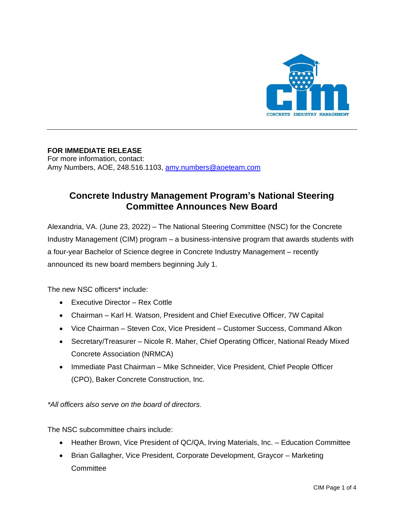

## **FOR IMMEDIATE RELEASE**

For more information, contact: Amy Numbers, AOE, 248.516.1103, [amy.numbers@aoeteam.com](mailto:amy.numbers@aoeteam.com)

## **Concrete Industry Management Program's National Steering Committee Announces New Board**

Alexandria, VA. (June 23, 2022) – The National Steering Committee (NSC) for the Concrete Industry Management (CIM) program – a business-intensive program that awards students with a four-year Bachelor of Science degree in Concrete Industry Management – recently announced its new board members beginning July 1.

The new NSC officers\* include:

- Executive Director Rex Cottle
- Chairman Karl H. Watson, President and Chief Executive Officer, 7W Capital
- Vice Chairman Steven Cox, Vice President Customer Success, Command Alkon
- Secretary/Treasurer Nicole R. Maher, Chief Operating Officer, National Ready Mixed Concrete Association (NRMCA)
- Immediate Past Chairman Mike Schneider, Vice President, Chief People Officer (CPO), Baker Concrete Construction, Inc.

*\*All officers also serve on the board of directors.* 

The NSC subcommittee chairs include:

- Heather Brown, Vice President of QC/QA, Irving Materials, Inc. Education Committee
- Brian Gallagher, Vice President, Corporate Development, Graycor Marketing **Committee**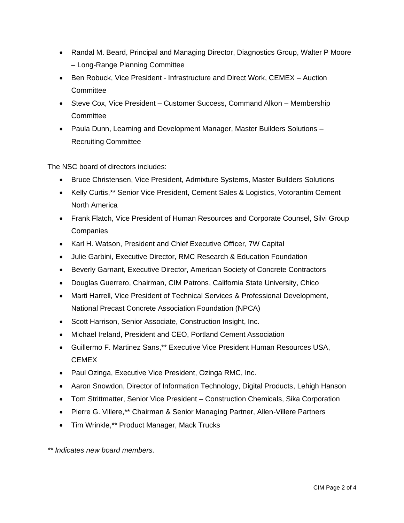- Randal M. Beard, Principal and Managing Director, Diagnostics Group, Walter P Moore – Long-Range Planning Committee
- Ben Robuck, Vice President Infrastructure and Direct Work, CEMEX Auction **Committee**
- Steve Cox, Vice President Customer Success, Command Alkon Membership **Committee**
- Paula Dunn, Learning and Development Manager, Master Builders Solutions Recruiting Committee

The NSC board of directors includes:

- Bruce Christensen, Vice President, Admixture Systems, Master Builders Solutions
- Kelly Curtis,\*\* Senior Vice President, Cement Sales & Logistics, Votorantim Cement North America
- Frank Flatch, Vice President of Human Resources and Corporate Counsel, Silvi Group **Companies**
- Karl H. Watson, President and Chief Executive Officer, 7W Capital
- Julie Garbini, Executive Director, RMC Research & Education Foundation
- Beverly Garnant, Executive Director, American Society of Concrete Contractors
- Douglas Guerrero, Chairman, CIM Patrons, California State University, Chico
- Marti Harrell, Vice President of Technical Services & Professional Development, National Precast Concrete Association Foundation (NPCA)
- Scott Harrison, Senior Associate, Construction Insight, Inc.
- Michael Ireland, President and CEO, Portland Cement Association
- Guillermo F. Martinez Sans,\*\* Executive Vice President Human Resources USA, CEMEX
- Paul Ozinga, Executive Vice President, Ozinga RMC, Inc.
- Aaron Snowdon, Director of Information Technology, Digital Products, Lehigh Hanson
- Tom Strittmatter, Senior Vice President Construction Chemicals, Sika Corporation
- Pierre G. Villere,\*\* Chairman & Senior Managing Partner, Allen-Villere Partners
- Tim Wrinkle,\*\* Product Manager, Mack Trucks

*\*\* Indicates new board members.*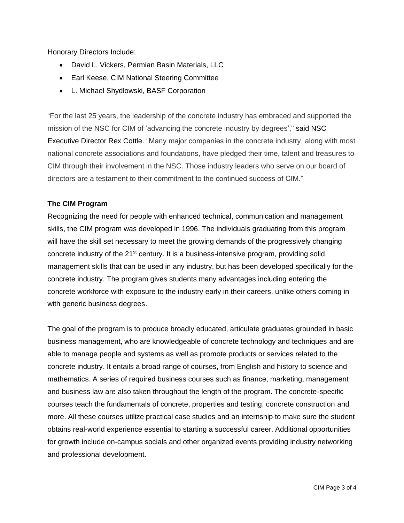Honorary Directors Include:

- David L. Vickers, Permian Basin Materials, LLC
- Earl Keese, CIM National Steering Committee
- L. Michael Shydlowski, BASF Corporation

"For the last 25 years, the leadership of the concrete industry has embraced and supported the mission of the NSC for CIM of 'advancing the concrete industry by degrees'," said NSC Executive Director Rex Cottle. "Many major companies in the concrete industry, along with most national concrete associations and foundations, have pledged their time, talent and treasures to CIM through their involvement in the NSC. Those industry leaders who serve on our board of directors are a testament to their commitment to the continued success of CIM."

## **The CIM Program**

Recognizing the need for people with enhanced technical, communication and management skills, the CIM program was developed in 1996. The individuals graduating from this program will have the skill set necessary to meet the growing demands of the progressively changing concrete industry of the  $21^{st}$  century. It is a business-intensive program, providing solid management skills that can be used in any industry, but has been developed specifically for the concrete industry. The program gives students many advantages including entering the concrete workforce with exposure to the industry early in their careers, unlike others coming in with generic business degrees.

The goal of the program is to produce broadly educated, articulate graduates grounded in basic business management, who are knowledgeable of concrete technology and techniques and are able to manage people and systems as well as promote products or services related to the concrete industry. It entails a broad range of courses, from English and history to science and mathematics. A series of required business courses such as finance, marketing, management and business law are also taken throughout the length of the program. The concrete-specific courses teach the fundamentals of concrete, properties and testing, concrete construction and more. All these courses utilize practical case studies and an internship to make sure the student obtains real-world experience essential to starting a successful career. Additional opportunities for growth include on-campus socials and other organized events providing industry networking and professional development.